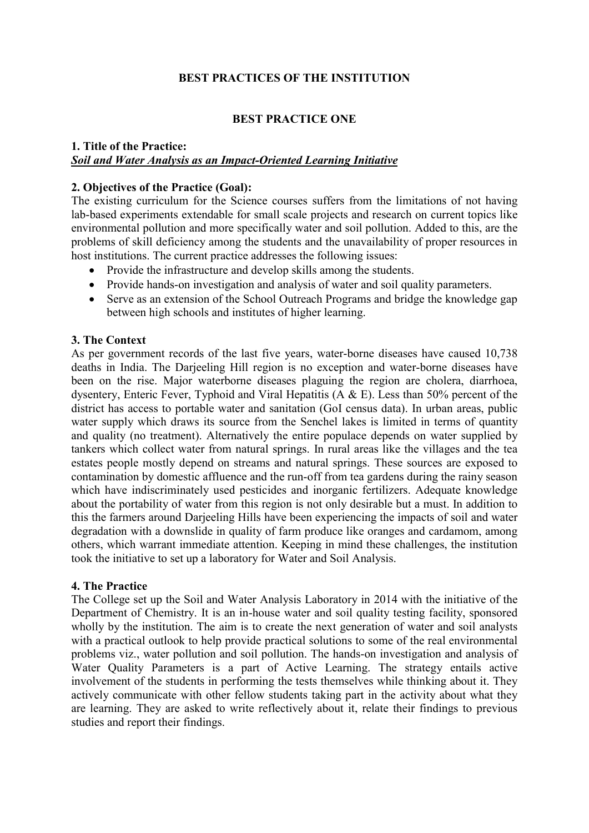# BEST PRACTICES OF THE INSTITUTION

### BEST PRACTICE ONE

# 1. Title of the Practice: Soil and Water Analysis as an Impact-Oriented Learning Initiative

### 2. Objectives of the Practice (Goal):

The existing curriculum for the Science courses suffers from the limitations of not having lab-based experiments extendable for small scale projects and research on current topics like environmental pollution and more specifically water and soil pollution. Added to this, are the problems of skill deficiency among the students and the unavailability of proper resources in host institutions. The current practice addresses the following issues:

- Provide the infrastructure and develop skills among the students.
- Provide hands-on investigation and analysis of water and soil quality parameters.
- Serve as an extension of the School Outreach Programs and bridge the knowledge gap between high schools and institutes of higher learning.

#### 3. The Context

As per government records of the last five years, water-borne diseases have caused 10,738 deaths in India. The Darjeeling Hill region is no exception and water-borne diseases have been on the rise. Major waterborne diseases plaguing the region are cholera, diarrhoea, dysentery, Enteric Fever, Typhoid and Viral Hepatitis (A & E). Less than 50% percent of the district has access to portable water and sanitation (GoI census data). In urban areas, public water supply which draws its source from the Senchel lakes is limited in terms of quantity and quality (no treatment). Alternatively the entire populace depends on water supplied by tankers which collect water from natural springs. In rural areas like the villages and the tea estates people mostly depend on streams and natural springs. These sources are exposed to contamination by domestic affluence and the run-off from tea gardens during the rainy season which have indiscriminately used pesticides and inorganic fertilizers. Adequate knowledge about the portability of water from this region is not only desirable but a must. In addition to this the farmers around Darjeeling Hills have been experiencing the impacts of soil and water degradation with a downslide in quality of farm produce like oranges and cardamom, among others, which warrant immediate attention. Keeping in mind these challenges, the institution took the initiative to set up a laboratory for Water and Soil Analysis.

### 4. The Practice

The College set up the Soil and Water Analysis Laboratory in 2014 with the initiative of the Department of Chemistry. It is an in-house water and soil quality testing facility, sponsored wholly by the institution. The aim is to create the next generation of water and soil analysts with a practical outlook to help provide practical solutions to some of the real environmental problems viz., water pollution and soil pollution. The hands-on investigation and analysis of Water Quality Parameters is a part of Active Learning. The strategy entails active involvement of the students in performing the tests themselves while thinking about it. They actively communicate with other fellow students taking part in the activity about what they are learning. They are asked to write reflectively about it, relate their findings to previous studies and report their findings.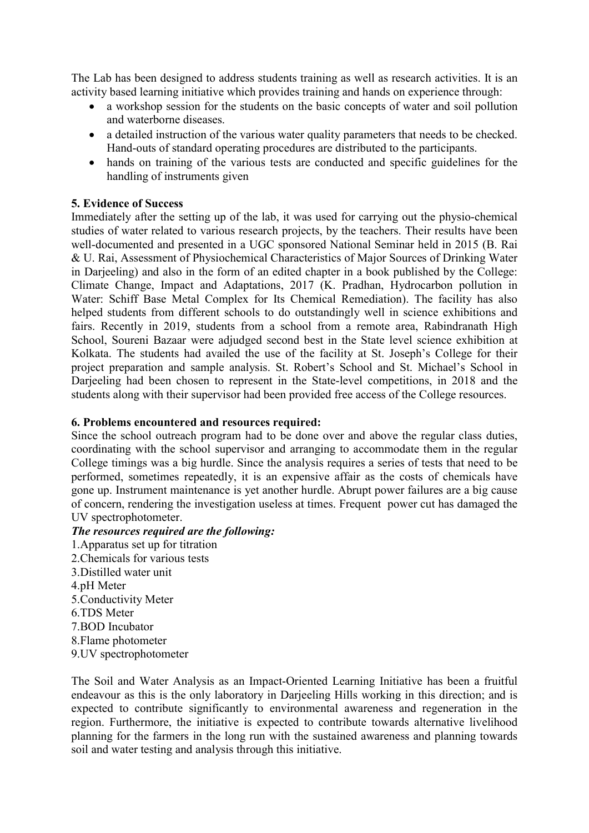The Lab has been designed to address students training as well as research activities. It is an activity based learning initiative which provides training and hands on experience through:

- a workshop session for the students on the basic concepts of water and soil pollution and waterborne diseases.
- a detailed instruction of the various water quality parameters that needs to be checked. Hand-outs of standard operating procedures are distributed to the participants.
- hands on training of the various tests are conducted and specific guidelines for the handling of instruments given

### 5. Evidence of Success

Immediately after the setting up of the lab, it was used for carrying out the physio-chemical studies of water related to various research projects, by the teachers. Their results have been well-documented and presented in a UGC sponsored National Seminar held in 2015 (B. Rai & U. Rai, Assessment of Physiochemical Characteristics of Major Sources of Drinking Water in Darjeeling) and also in the form of an edited chapter in a book published by the College: Climate Change, Impact and Adaptations, 2017 (K. Pradhan, Hydrocarbon pollution in Water: Schiff Base Metal Complex for Its Chemical Remediation). The facility has also helped students from different schools to do outstandingly well in science exhibitions and fairs. Recently in 2019, students from a school from a remote area, Rabindranath High School, Soureni Bazaar were adjudged second best in the State level science exhibition at Kolkata. The students had availed the use of the facility at St. Joseph's College for their project preparation and sample analysis. St. Robert's School and St. Michael's School in Darjeeling had been chosen to represent in the State-level competitions, in 2018 and the students along with their supervisor had been provided free access of the College resources.

# 6. Problems encountered and resources required:

Since the school outreach program had to be done over and above the regular class duties, coordinating with the school supervisor and arranging to accommodate them in the regular College timings was a big hurdle. Since the analysis requires a series of tests that need to be performed, sometimes repeatedly, it is an expensive affair as the costs of chemicals have gone up. Instrument maintenance is yet another hurdle. Abrupt power failures are a big cause of concern, rendering the investigation useless at times. Frequent power cut has damaged the UV spectrophotometer.

### The resources required are the following:

- 1.Apparatus set up for titration 2.Chemicals for various tests 3.Distilled water unit 4.pH Meter 5.Conductivity Meter 6.TDS Meter 7.BOD Incubator 8.Flame photometer
- 9.UV spectrophotometer

The Soil and Water Analysis as an Impact-Oriented Learning Initiative has been a fruitful endeavour as this is the only laboratory in Darjeeling Hills working in this direction; and is expected to contribute significantly to environmental awareness and regeneration in the region. Furthermore, the initiative is expected to contribute towards alternative livelihood planning for the farmers in the long run with the sustained awareness and planning towards soil and water testing and analysis through this initiative.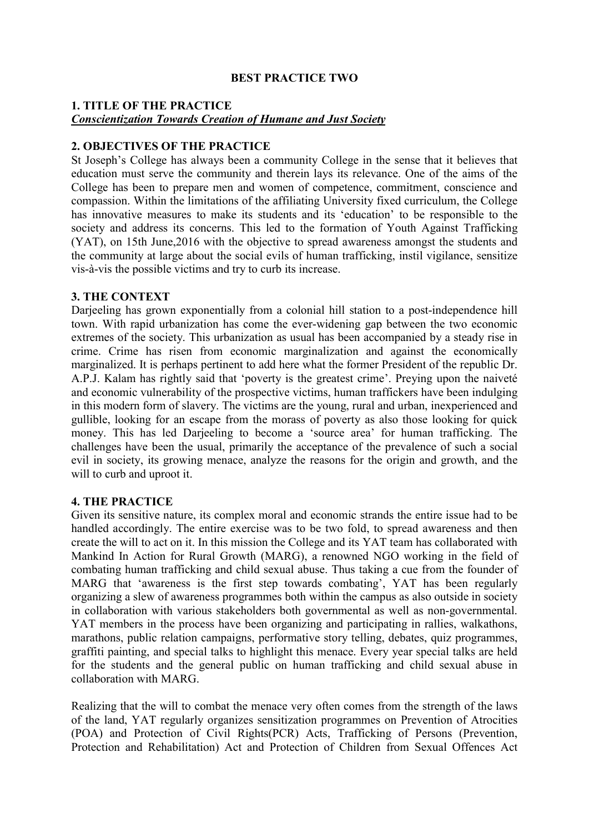# BEST PRACTICE TWO

# 1. TITLE OF THE PRACTICE Conscientization Towards Creation of Humane and Just Society

# 2. OBJECTIVES OF THE PRACTICE

St Joseph's College has always been a community College in the sense that it believes that education must serve the community and therein lays its relevance. One of the aims of the College has been to prepare men and women of competence, commitment, conscience and compassion. Within the limitations of the affiliating University fixed curriculum, the College has innovative measures to make its students and its 'education' to be responsible to the society and address its concerns. This led to the formation of Youth Against Trafficking (YAT), on 15th June,2016 with the objective to spread awareness amongst the students and the community at large about the social evils of human trafficking, instil vigilance, sensitize vis-à-vis the possible victims and try to curb its increase.

### 3. THE CONTEXT

Darjeeling has grown exponentially from a colonial hill station to a post-independence hill town. With rapid urbanization has come the ever-widening gap between the two economic extremes of the society. This urbanization as usual has been accompanied by a steady rise in crime. Crime has risen from economic marginalization and against the economically marginalized. It is perhaps pertinent to add here what the former President of the republic Dr. A.P.J. Kalam has rightly said that 'poverty is the greatest crime'. Preying upon the naiveté and economic vulnerability of the prospective victims, human traffickers have been indulging in this modern form of slavery. The victims are the young, rural and urban, inexperienced and gullible, looking for an escape from the morass of poverty as also those looking for quick money. This has led Darjeeling to become a 'source area' for human trafficking. The challenges have been the usual, primarily the acceptance of the prevalence of such a social evil in society, its growing menace, analyze the reasons for the origin and growth, and the will to curb and uproot it.

### 4. THE PRACTICE

Given its sensitive nature, its complex moral and economic strands the entire issue had to be handled accordingly. The entire exercise was to be two fold, to spread awareness and then create the will to act on it. In this mission the College and its YAT team has collaborated with Mankind In Action for Rural Growth (MARG), a renowned NGO working in the field of combating human trafficking and child sexual abuse. Thus taking a cue from the founder of MARG that 'awareness is the first step towards combating', YAT has been regularly organizing a slew of awareness programmes both within the campus as also outside in society in collaboration with various stakeholders both governmental as well as non-governmental. YAT members in the process have been organizing and participating in rallies, walkathons, marathons, public relation campaigns, performative story telling, debates, quiz programmes, graffiti painting, and special talks to highlight this menace. Every year special talks are held for the students and the general public on human trafficking and child sexual abuse in collaboration with MARG.

Realizing that the will to combat the menace very often comes from the strength of the laws of the land, YAT regularly organizes sensitization programmes on Prevention of Atrocities (POA) and Protection of Civil Rights(PCR) Acts, Trafficking of Persons (Prevention, Protection and Rehabilitation) Act and Protection of Children from Sexual Offences Act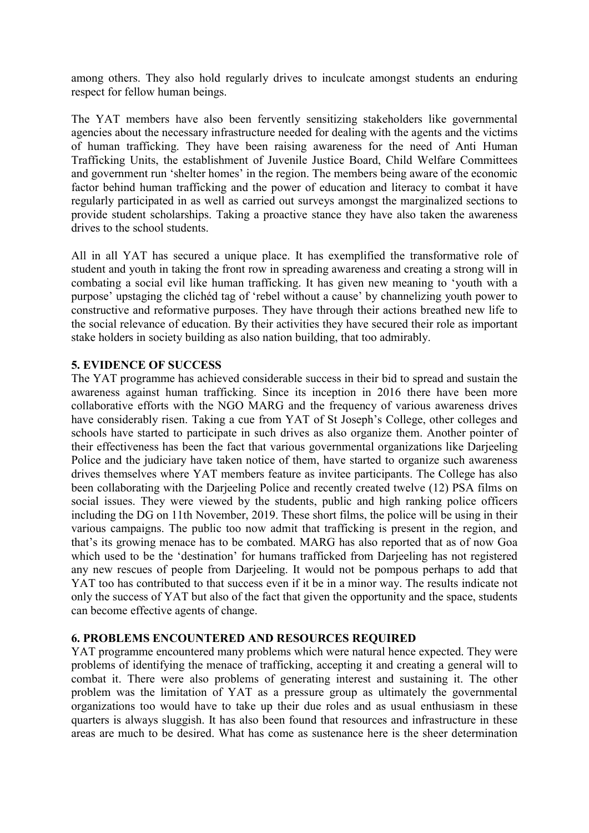among others. They also hold regularly drives to inculcate amongst students an enduring respect for fellow human beings.

The YAT members have also been fervently sensitizing stakeholders like governmental agencies about the necessary infrastructure needed for dealing with the agents and the victims of human trafficking. They have been raising awareness for the need of Anti Human Trafficking Units, the establishment of Juvenile Justice Board, Child Welfare Committees and government run 'shelter homes' in the region. The members being aware of the economic factor behind human trafficking and the power of education and literacy to combat it have regularly participated in as well as carried out surveys amongst the marginalized sections to provide student scholarships. Taking a proactive stance they have also taken the awareness drives to the school students.

All in all YAT has secured a unique place. It has exemplified the transformative role of student and youth in taking the front row in spreading awareness and creating a strong will in combating a social evil like human trafficking. It has given new meaning to 'youth with a purpose' upstaging the clichéd tag of 'rebel without a cause' by channelizing youth power to constructive and reformative purposes. They have through their actions breathed new life to the social relevance of education. By their activities they have secured their role as important stake holders in society building as also nation building, that too admirably.

### 5. EVIDENCE OF SUCCESS

The YAT programme has achieved considerable success in their bid to spread and sustain the awareness against human trafficking. Since its inception in 2016 there have been more collaborative efforts with the NGO MARG and the frequency of various awareness drives have considerably risen. Taking a cue from YAT of St Joseph's College, other colleges and schools have started to participate in such drives as also organize them. Another pointer of their effectiveness has been the fact that various governmental organizations like Darjeeling Police and the judiciary have taken notice of them, have started to organize such awareness drives themselves where YAT members feature as invitee participants. The College has also been collaborating with the Darjeeling Police and recently created twelve (12) PSA films on social issues. They were viewed by the students, public and high ranking police officers including the DG on 11th November, 2019. These short films, the police will be using in their various campaigns. The public too now admit that trafficking is present in the region, and that's its growing menace has to be combated. MARG has also reported that as of now Goa which used to be the 'destination' for humans trafficked from Darjeeling has not registered any new rescues of people from Darjeeling. It would not be pompous perhaps to add that YAT too has contributed to that success even if it be in a minor way. The results indicate not only the success of YAT but also of the fact that given the opportunity and the space, students can become effective agents of change.

# 6. PROBLEMS ENCOUNTERED AND RESOURCES REQUIRED

YAT programme encountered many problems which were natural hence expected. They were problems of identifying the menace of trafficking, accepting it and creating a general will to combat it. There were also problems of generating interest and sustaining it. The other problem was the limitation of YAT as a pressure group as ultimately the governmental organizations too would have to take up their due roles and as usual enthusiasm in these quarters is always sluggish. It has also been found that resources and infrastructure in these areas are much to be desired. What has come as sustenance here is the sheer determination